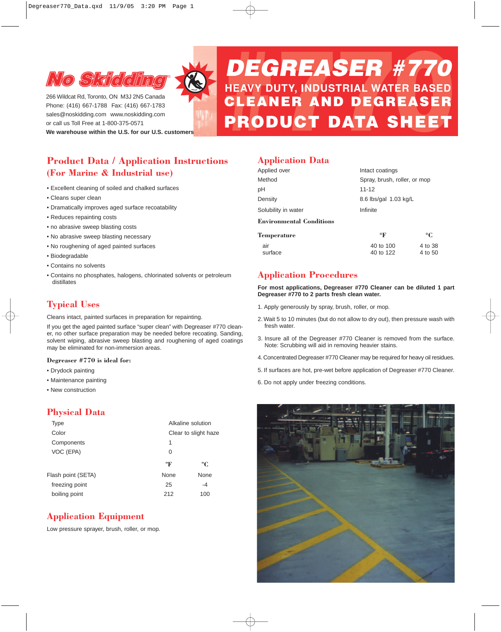

266 Wildcat Rd, Toronto, ON M3J 2N5 Canada Phone: (416) 667-1788 Fax: (416) 667-1783 sales@noskidding.com www.noskidding.com or call us Toll Free at 1-800-375-0571

**We warehouse within the U.S. for our U.S. customers**

# **Product Data / Application Instructions (For Marine & Industrial use)**

- Excellent cleaning of soiled and chalked surfaces
- Cleans super clean
- Dramatically improves aged surface recoatability
- Reduces repainting costs
- no abrasive sweep blasting costs
- No abrasive sweep blasting necessary
- No roughening of aged painted surfaces
- Biodegradable
- Contains no solvents
- Contains no phosphates, halogens, chlorinated solvents or petroleum distillates

## **Typical Uses**

Cleans intact, painted surfaces in preparation for repainting.

If you get the aged painted surface "super clean" with Degreaser #770 cleaner, no other surface preparation may be needed before recoating. Sanding, solvent wiping, abrasive sweep blasting and roughening of aged coatings may be eliminated for non-immersion areas.

#### **Degreaser #770 is ideal for:**

- Drydock painting
- Maintenance painting
- New construction

### **Physical Data**

| Type               | Alkaline solution |                      |  |  |
|--------------------|-------------------|----------------------|--|--|
| Color              |                   | Clear to slight haze |  |  |
| Components         | 1                 |                      |  |  |
| VOC (EPA)          | 0                 |                      |  |  |
|                    | $\mathbf{P}$      | °C                   |  |  |
| Flash point (SETA) | None              | None                 |  |  |
| freezing point     | 25                | -4                   |  |  |
| boiling point      | 212               | 100                  |  |  |
|                    |                   |                      |  |  |

## **Application Equipment**

Low pressure sprayer, brush, roller, or mop.

## **Application Data**

| Applied over                    | Intact coatings              |                    |  |
|---------------------------------|------------------------------|--------------------|--|
| Method                          | Spray, brush, roller, or mop |                    |  |
| рH                              | $11 - 12$                    |                    |  |
| Density                         | 8.6 lbs/gal 1.03 kg/L        |                    |  |
| Solubility in water             | Infinite                     |                    |  |
| <b>Environmental Conditions</b> |                              |                    |  |
| Temperature                     | $\circ$ F                    | $\rm ^{\circ}C$    |  |
| air<br>surface                  | 40 to 100<br>40 to 122       | 4 to 38<br>4 to 50 |  |

**DEGREASER #770<br>HEAVY DUTY, INDUSTRIAL WATER BASED<br>CLEANER AND DEGREASER<br>PRODUCT DATA SHEET** 

### **Application Procedures**

**For most applications, Degreaser #770 Cleaner can be diluted 1 part Degreaser #770 to 2 parts fresh clean water.**

- 1. Apply generously by spray, brush, roller, or mop.
- 2. Wait 5 to 10 minutes (but do not allow to dry out), then pressure wash with fresh water.
- 3. Insure all of the Degreaser #770 Cleaner is removed from the surface. Note: Scrubbing will aid in removing heavier stains.
- 4. Concentrated Degreaser #770 Cleaner may be required for heavy oil residues.
- 5. If surfaces are hot, pre-wet before application of Degreaser #770 Cleaner.
- 6. Do not apply under freezing conditions.